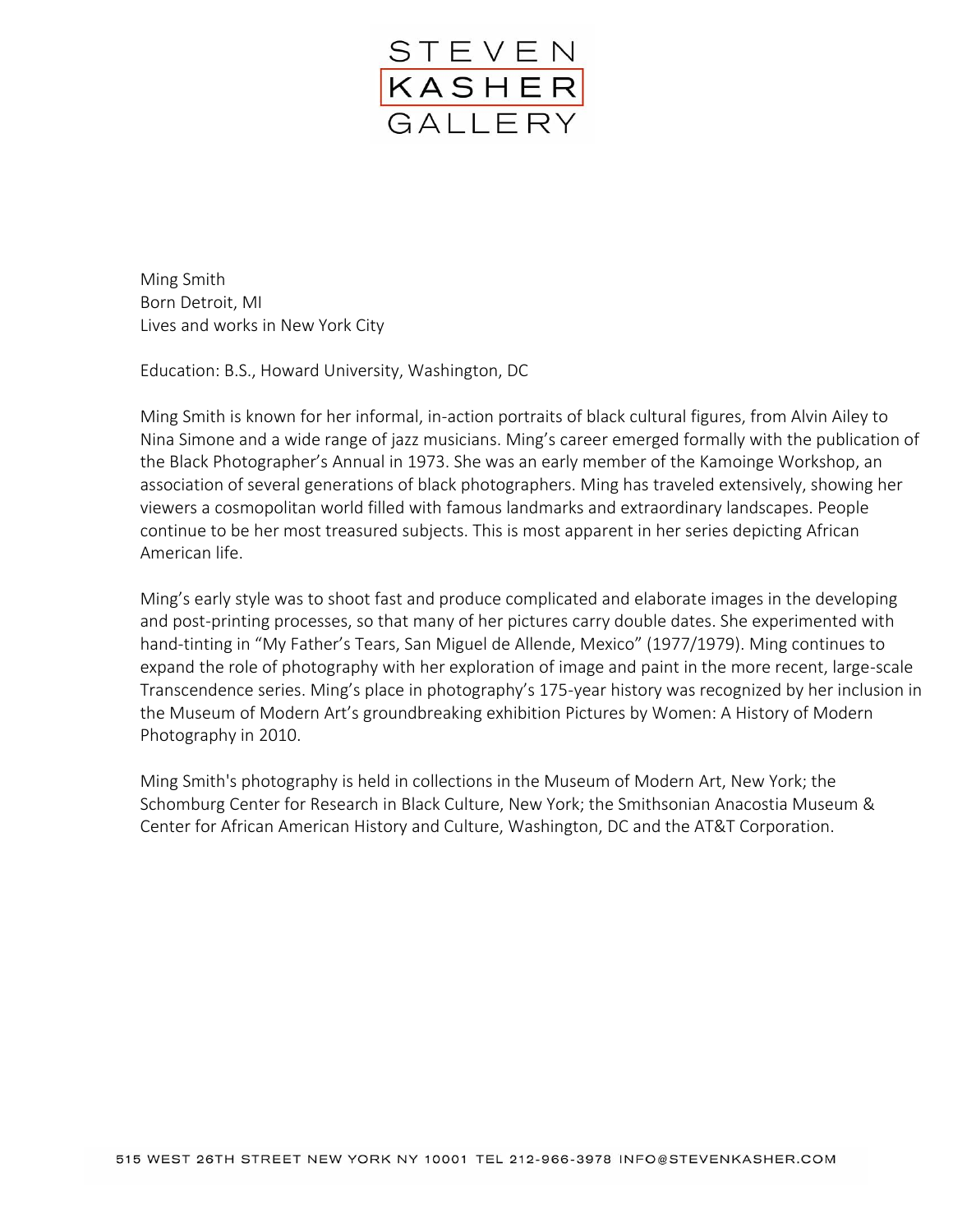

Ming Smith Born Detroit, MI Lives and works in New York City

Education: B.S., Howard University, Washington, DC

Ming Smith is known for her informal, in-action portraits of black cultural figures, from Alvin Ailey to Nina Simone and a wide range of jazz musicians. Ming's career emerged formally with the publication of the Black Photographer's Annual in 1973. She was an early member of the Kamoinge Workshop, an association of several generations of black photographers. Ming has traveled extensively, showing her viewers a cosmopolitan world filled with famous landmarks and extraordinary landscapes. People continue to be her most treasured subjects. This is most apparent in her series depicting African American life.

Ming's early style was to shoot fast and produce complicated and elaborate images in the developing and post-printing processes, so that many of her pictures carry double dates. She experimented with hand-tinting in "My Father's Tears, San Miguel de Allende, Mexico" (1977/1979). Ming continues to expand the role of photography with her exploration of image and paint in the more recent, large-scale Transcendence series. Ming's place in photography's 175-year history was recognized by her inclusion in the Museum of Modern Art's groundbreaking exhibition Pictures by Women: A History of Modern Photography in 2010.

Ming Smith's photography is held in collections in the Museum of Modern Art, New York; the Schomburg Center for Research in Black Culture, New York; the Smithsonian Anacostia Museum & Center for African American History and Culture, Washington, DC and the AT&T Corporation.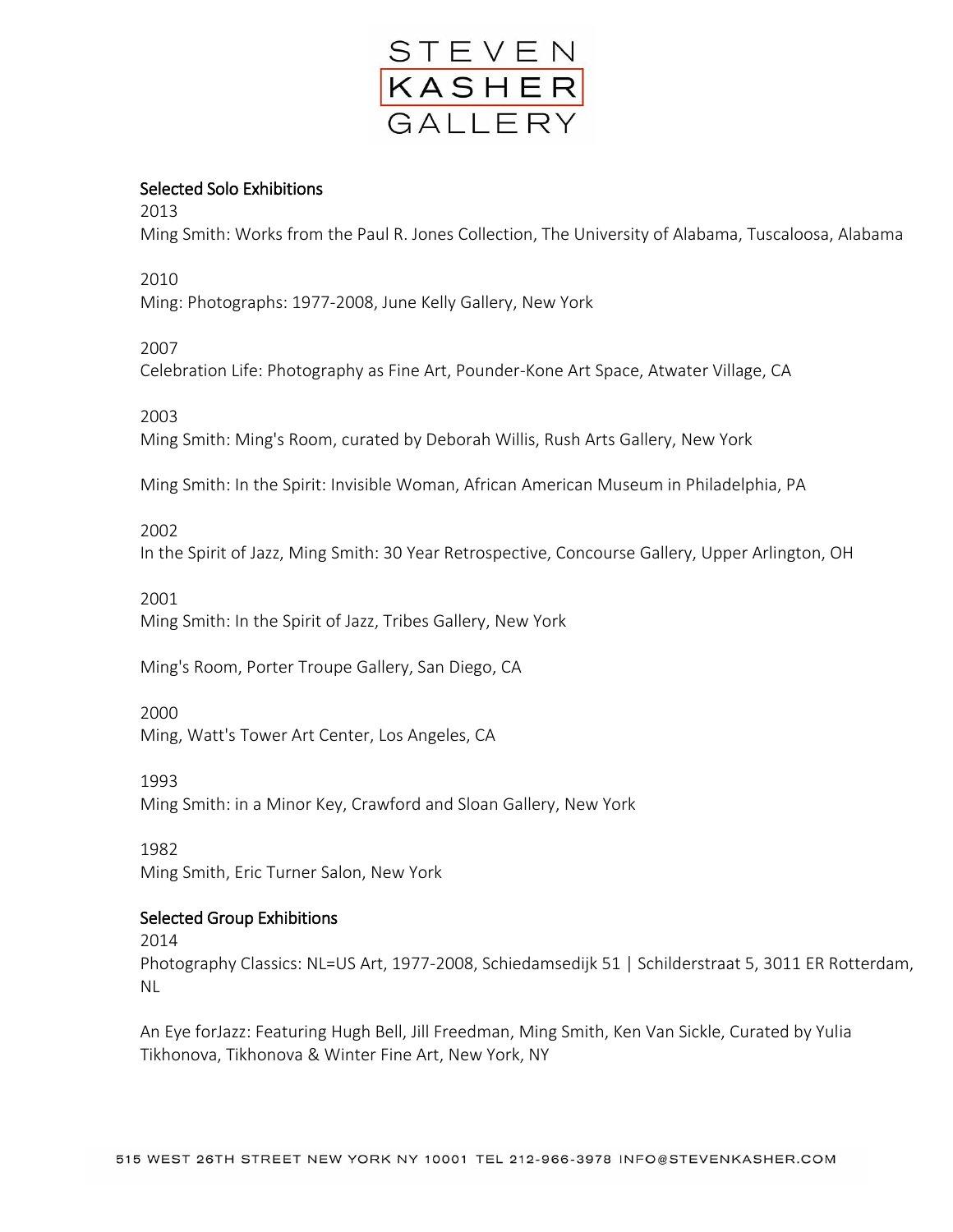

# Selected Solo Exhibitions

2013

Ming Smith: Works from the Paul R. Jones Collection, The University of Alabama, Tuscaloosa, Alabama

2010

Ming: Photographs: 1977-2008, June Kelly Gallery, New York

## 2007

Celebration Life: Photography as Fine Art, Pounder-Kone Art Space, Atwater Village, CA

2003

Ming Smith: Ming's Room, curated by Deborah Willis, Rush Arts Gallery, New York

Ming Smith: In the Spirit: Invisible Woman, African American Museum in Philadelphia, PA

## 2002

In the Spirit of Jazz, Ming Smith: 30 Year Retrospective, Concourse Gallery, Upper Arlington, OH

## 2001

Ming Smith: In the Spirit of Jazz, Tribes Gallery, New York

Ming's Room, Porter Troupe Gallery, San Diego, CA

## 2000

Ming, Watt's Tower Art Center, Los Angeles, CA

1993

Ming Smith: in a Minor Key, Crawford and Sloan Gallery, New York

1982

Ming Smith, Eric Turner Salon, New York

# Selected Group Exhibitions

2014

Photography Classics: NL=US Art, 1977-2008, Schiedamsedijk 51 | Schilderstraat 5, 3011 ER Rotterdam, NL

An Eye forJazz: Featuring Hugh Bell, Jill Freedman, Ming Smith, Ken Van Sickle, Curated by Yulia Tikhonova, Tikhonova & Winter Fine Art, New York, NY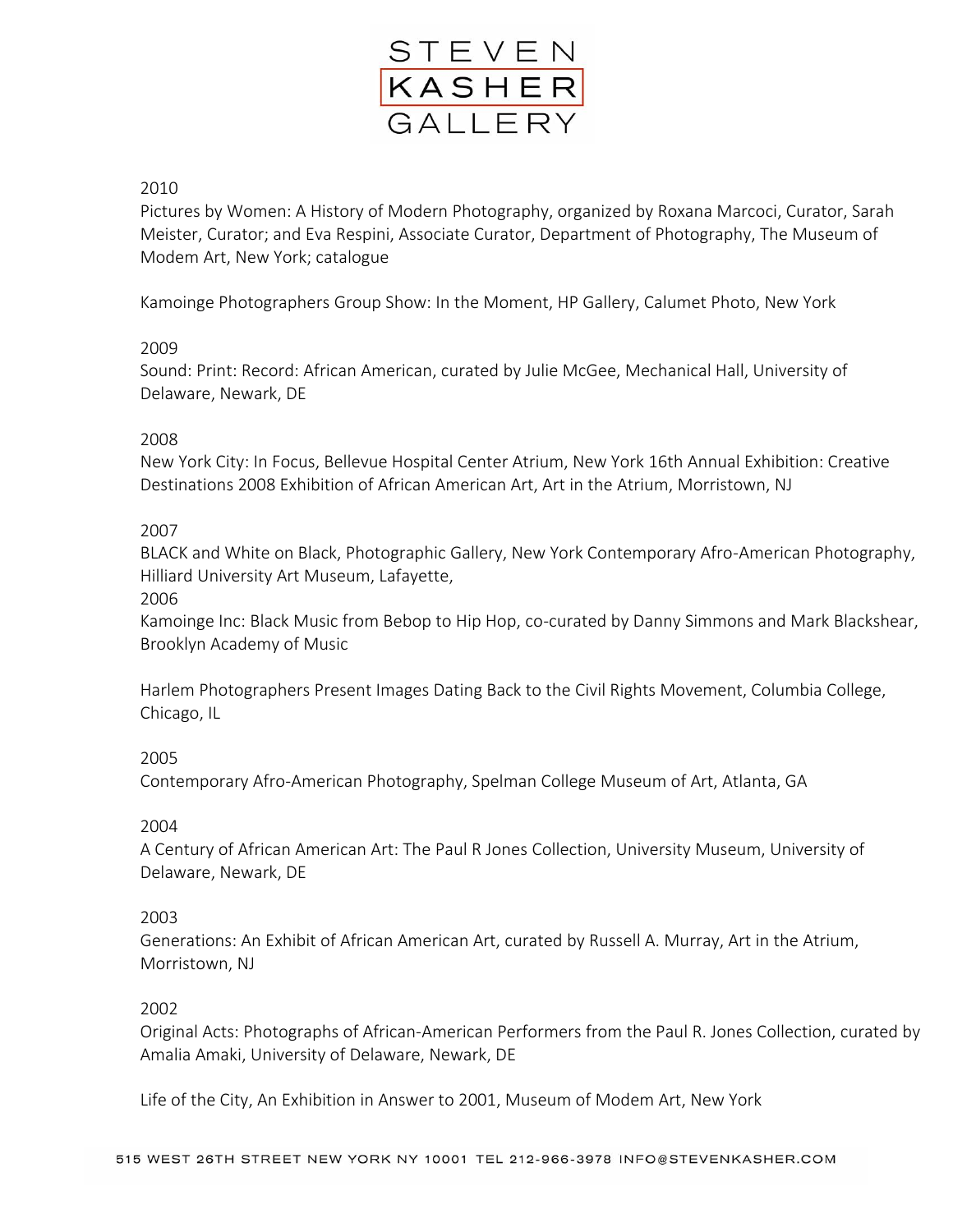

# 2010

Pictures by Women: A History of Modern Photography, organized by Roxana Marcoci, Curator, Sarah Meister, Curator; and Eva Respini, Associate Curator, Department of Photography, The Museum of Modem Art, New York; catalogue

Kamoinge Photographers Group Show: In the Moment, HP Gallery, Calumet Photo, New York

## 2009

Sound: Print: Record: African American, curated by Julie McGee, Mechanical Hall, University of Delaware, Newark, DE

### 2008

New York City: In Focus, Bellevue Hospital Center Atrium, New York 16th Annual Exhibition: Creative Destinations 2008 Exhibition of African American Art, Art in the Atrium, Morristown, NJ

## 2007

BLACK and White on Black, Photographic Gallery, New York Contemporary Afro-American Photography, Hilliard University Art Museum, Lafayette,

2006

Kamoinge Inc: Black Music from Bebop to Hip Hop, co-curated by Danny Simmons and Mark Blackshear, Brooklyn Academy of Music

Harlem Photographers Present Images Dating Back to the Civil Rights Movement, Columbia College, Chicago, IL

## 2005

Contemporary Afro-American Photography, Spelman College Museum of Art, Atlanta, GA

#### 2004

A Century of African American Art: The Paul R Jones Collection, University Museum, University of Delaware, Newark, DE

#### 2003

Generations: An Exhibit of African American Art, curated by Russell A. Murray, Art in the Atrium, Morristown, NJ

#### 2002

Original Acts: Photographs of African-American Performers from the Paul R. Jones Collection, curated by Amalia Amaki, University of Delaware, Newark, DE

Life of the City, An Exhibition in Answer to 2001, Museum of Modem Art, New York